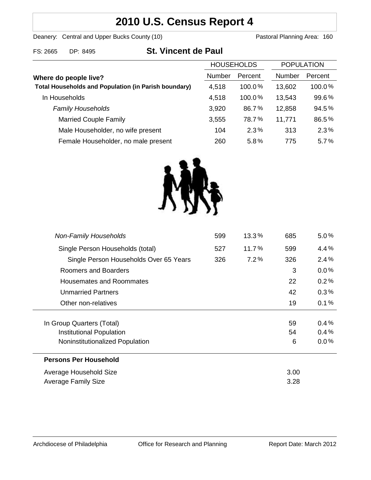# **2010 U.S. Census Report 4**

Deanery: Central and Upper Bucks County (10) Deanery: Central and Upper Bucks County (10)

| FS: 2665<br>DP: 8495 | <b>St. Vincent de Paul</b> |
|----------------------|----------------------------|
|----------------------|----------------------------|

|                                                                                      | <b>HOUSEHOLDS</b> |           | <b>POPULATION</b> |         |
|--------------------------------------------------------------------------------------|-------------------|-----------|-------------------|---------|
| Where do people live?<br><b>Total Households and Population (in Parish boundary)</b> | <b>Number</b>     | Percent   | <b>Number</b>     | Percent |
|                                                                                      | 4,518             | $100.0\%$ | 13,602            | 100.0%  |
| In Households                                                                        | 4,518             | $100.0\%$ | 13,543            | 99.6%   |
| <b>Family Households</b>                                                             | 3,920             | 86.7%     | 12,858            | 94.5%   |
| <b>Married Couple Family</b>                                                         | 3,555             | 78.7%     | 11,771            | 86.5%   |
| Male Householder, no wife present                                                    | 104               | 2.3%      | 313               | 2.3%    |
| Female Householder, no male present                                                  | 260               | 5.8%      | 775               | 5.7%    |



| 599 | $13.3\%$ | 685  | $5.0\%$ |
|-----|----------|------|---------|
| 527 | 11.7%    | 599  | 4.4%    |
| 326 | 7.2%     | 326  | 2.4%    |
|     |          | 3    | $0.0\%$ |
|     |          | 22   | 0.2%    |
|     |          | 42   | 0.3%    |
|     |          | 19   | 0.1%    |
|     |          |      |         |
|     |          | 59   | 0.4%    |
|     |          | 54   | 0.4%    |
|     |          | 6    | $0.0\%$ |
|     |          |      |         |
|     |          | 3.00 |         |
|     |          | 3.28 |         |
|     |          |      |         |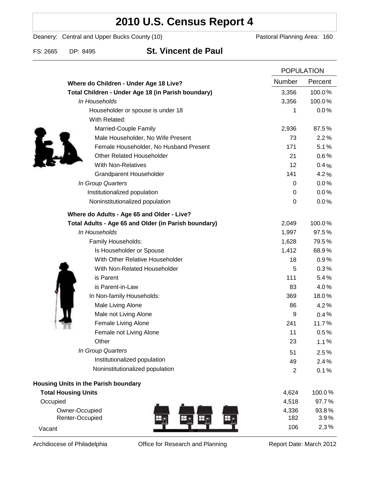## **2010 U.S. Census Report 4**

Deanery: Central and Upper Bucks County (10) Deanery: Central and Upper Bucks County (10)

FS: 2665 DP: 8495 **St. Vincent de Paul**

|                                                      | <b>POPULATION</b> |         |
|------------------------------------------------------|-------------------|---------|
| Where do Children - Under Age 18 Live?               | Number            | Percent |
| Total Children - Under Age 18 (in Parish boundary)   | 3,356             | 100.0%  |
| In Households                                        | 3,356             | 100.0%  |
| Householder or spouse is under 18                    | 1                 | 0.0%    |
| With Related:                                        |                   |         |
| Married-Couple Family                                | 2,936             | 87.5%   |
| Male Householder, No Wife Present                    | 73                | 2.2%    |
| Female Householder, No Husband Present               | 171               | 5.1%    |
| <b>Other Related Householder</b>                     | 21                | 0.6%    |
| <b>With Non-Relatives</b>                            | 12                | 0.4%    |
| Grandparent Householder                              | 141               | 4.2%    |
| In Group Quarters                                    | 0                 | 0.0%    |
| Institutionalized population                         | 0                 | 0.0%    |
| Noninstitutionalized population                      | 0                 | 0.0%    |
| Where do Adults - Age 65 and Older - Live?           |                   |         |
| Total Adults - Age 65 and Older (in Parish boundary) | 2,049             | 100.0%  |
| In Households                                        | 1,997             | 97.5%   |
| Family Households:                                   | 1,628             | 79.5%   |
| Is Householder or Spouse                             | 1,412             | 68.9%   |
| With Other Relative Householder                      | 18                | 0.9%    |
| With Non-Related Householder                         | 5                 | 0.3%    |
| is Parent                                            | 111               | 5.4%    |
| is Parent-in-Law                                     | 83                | 4.0%    |
| In Non-family Households:                            | 369               | 18.0%   |
| Male Living Alone                                    | 86                | 4.2%    |
| Male not Living Alone                                | 9                 | 0.4%    |
| Female Living Alone                                  | 241               | 11.7%   |
| Female not Living Alone                              | 11                | 0.5%    |
| Other                                                | 23                | 1.1%    |
| In Group Quarters                                    | 51                | 2.5%    |
| Institutionalized population                         | 49                | 2.4%    |
| Noninstitutionalized population                      | $\overline{2}$    | 0.1%    |
| <b>Housing Units in the Parish boundary</b>          |                   |         |
| <b>Total Housing Units</b>                           | 4,624             | 100.0%  |
| Occupied                                             | 4,518             | 97.7%   |
| Owner-Occupied                                       | 4,336             | 93.8%   |
| Renter-Occupied<br>щ                                 | 182               | 3.9%    |
| Vacant                                               | 106               | 2.3%    |

Archdiocese of Philadelphia **Office for Research and Planning** Report Date: March 2012